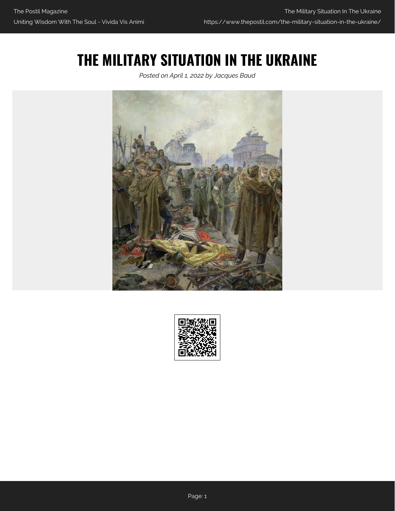## **THE MILITARY SITUATION IN THE UKRAINE**

*Posted on April 1, 2022 by Jacques Baud*



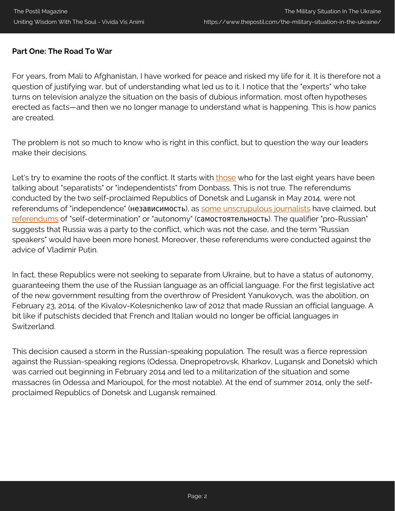#### **Part One: The Road To War**

For years, from Mali to Afghanistan, I have worked for peace and risked my life for it. It is therefore not a question of justifying war, but of understanding what led us to it. I notice that the "experts" who take turns on television analyze the situation on the basis of dubious information, most often hypotheses erected as facts—and then we no longer manage to understand what is happening. This is how panics are created.

The problem is not so much to know who is right in this conflict, but to question the way our leaders make their decisions.

Let's try to examine the roots of the conflict. It starts with [those](https://www.rts.ch/info/monde/6772950-les-separatistes-auraient-renforce-leurs-capacites-dattaque-en-ukraine.html) who for the last eight years have been talking about "separatists" or "independentists" from Donbass. This is not true. The referendums conducted by the two self-proclaimed Republics of Donetsk and Lugansk in May 2014, were not referendums of "independence" (независимость), as [some unscrupulous journalists](https://www.rts.ch/info/monde/5839879-pres-de-90-de-oui-a-lindependance-a-donetsk-selon-les-prorusses.html) have claimed, but [referendums](https://upload.wikimedia.org/wikipedia/commons/4/4d/Decree_on_holding_the_Donetsk_status_referendum.png) of "self-determination" or "autonomy" (самостоятельность). The qualifier "pro-Russian" suggests that Russia was a party to the conflict, which was not the case, and the term "Russian speakers" would have been more honest. Moreover, these referendums were conducted against the advice of Vladimir Putin.

In fact, these Republics were not seeking to separate from Ukraine, but to have a status of autonomy, guaranteeing them the use of the Russian language as an official language. For the first legislative act of the new government resulting from the overthrow of President Yanukovych, was the abolition, on February 23, 2014, of the Kivalov-Kolesnichenko law of 2012 that made Russian an official language. A bit like if putschists decided that French and Italian would no longer be official languages in Switzerland.

This decision caused a storm in the Russian-speaking population. The result was a fierce repression against the Russian-speaking regions (Odessa, Dnepropetrovsk, Kharkov, Lugansk and Donetsk) which was carried out beginning in February 2014 and led to a militarization of the situation and some massacres (in Odessa and Marioupol, for the most notable). At the end of summer 2014, only the selfproclaimed Republics of Donetsk and Lugansk remained.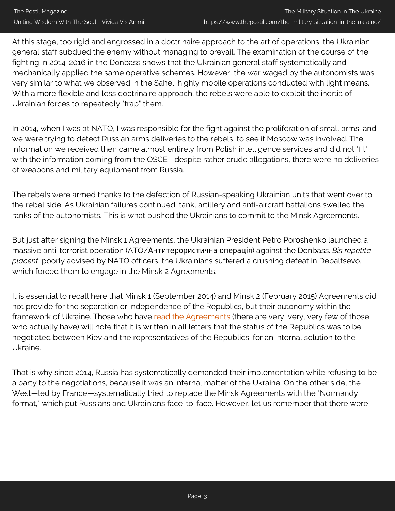At this stage, too rigid and engrossed in a doctrinaire approach to the art of operations, the Ukrainian general staff subdued the enemy without managing to prevail. The examination of the course of the fighting in 2014-2016 in the Donbass shows that the Ukrainian general staff systematically and mechanically applied the same operative schemes. However, the war waged by the autonomists was very similar to what we observed in the Sahel: highly mobile operations conducted with light means. With a more flexible and less doctrinaire approach, the rebels were able to exploit the inertia of Ukrainian forces to repeatedly "trap" them.

In 2014, when I was at NATO, I was responsible for the fight against the proliferation of small arms, and we were trying to detect Russian arms deliveries to the rebels, to see if Moscow was involved. The information we received then came almost entirely from Polish intelligence services and did not "fit" with the information coming from the OSCE—despite rather crude allegations, there were no deliveries of weapons and military equipment from Russia.

The rebels were armed thanks to the defection of Russian-speaking Ukrainian units that went over to the rebel side. As Ukrainian failures continued, tank, artillery and anti-aircraft battalions swelled the ranks of the autonomists. This is what pushed the Ukrainians to commit to the Minsk Agreements.

But just after signing the Minsk 1 Agreements, the Ukrainian President Petro Poroshenko launched a massive anti-terrorist operation (ATO/Антитерористична операція) against the Donbass. *Bis repetita placent*: poorly advised by NATO officers, the Ukrainians suffered a crushing defeat in Debaltsevo, which forced them to engage in the Minsk 2 Agreements.

It is essential to recall here that Minsk 1 (September 2014) and Minsk 2 (February 2015) Agreements did not provide for the separation or independence of the Republics, but their autonomy within the framework of Ukraine. Those who have [read the Agreements](https://www.securitycouncilreport.org/atf/cf/%7B65BFCF9B-6D27-4E9C-8CD3-CF6E4FF96FF9%7D/s_res_2202.pdf) (there are very, very, very few of those who actually have) will note that it is written in all letters that the status of the Republics was to be negotiated between Kiev and the representatives of the Republics, for an internal solution to the Ukraine.

That is why since 2014, Russia has systematically demanded their implementation while refusing to be a party to the negotiations, because it was an internal matter of the Ukraine. On the other side, the West—led by France—systematically tried to replace the Minsk Agreements with the "Normandy format," which put Russians and Ukrainians face-to-face. However, let us remember that there were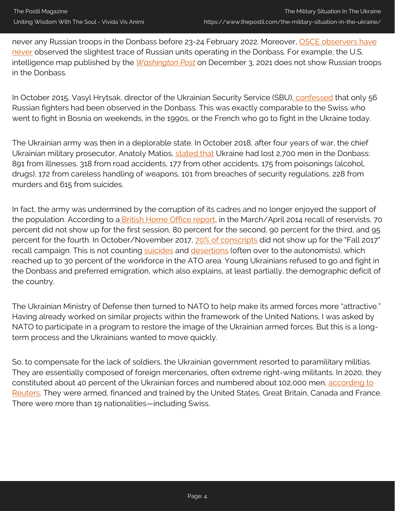never any Russian troops in the Donbass before 23-24 February 2022. Moreover, [OSCE observers have](https://foreignpolicy.com/2018/10/25/counting-the-dead-in-europes-forgotten-war-ukraine-conflict-donbass-osce/) [never](https://foreignpolicy.com/2018/10/25/counting-the-dead-in-europes-forgotten-war-ukraine-conflict-donbass-osce/) observed the slightest trace of Russian units operating in the Donbass. For example, the U.S. intelligence map published by the *[Washington Post](https://www.washingtonpost.com/national-security/russia-ukraine-invasion/2021/12/03/98a3760e-546b-11ec-8769-2f4ecdf7a2ad_story.html)* on December 3, 2021 does not show Russian troops in the Donbass.

In October 2015, Vasyl Hrytsak, director of the Ukrainian Security Service (SBU), [confessed](https://www.kyivpost.com/article/content/war-against-ukraine/sbu-registers-involvement-of-56-russian-in-military-actions-against-ukraine-since-military-conflict-in-eastern-ukraien-unfolded-399718.htmlhttps://www.kyivpost.com/article/content/war-against-ukraine/sbu-registers-involvement-of-56-russian-in-military-actions-against-ukraine-since-military-conflict-in-eastern-ukraien-unfolded-399718.html) that only 56 Russian fighters had been observed in the Donbass. This was exactly comparable to the Swiss who went to fight in Bosnia on weekends, in the 1990s, or the French who go to fight in the Ukraine today.

The Ukrainian army was then in a deplorable state. In October 2018, after four years of war, the chief Ukrainian military prosecutor, Anatoly Matios, [stated that](https://vesti.ua/strana/309880-nazvany-neboevye-poteri-vsu-na-donbasse) Ukraine had lost 2,700 men in the Donbass: 891 from illnesses, 318 from road accidents, 177 from other accidents, 175 from poisonings (alcohol, drugs), 172 from careless handling of weapons, 101 from breaches of security regulations, 228 from murders and 615 from suicides.

In fact, the army was undermined by the corruption of its cadres and no longer enjoyed the support of the population. According to a [British Home Office report,](https://www.justice.gov/eoir/page/file/1008261/download) in the March/April 2014 recall of reservists, 70 percent did not show up for the first session, 80 percent for the second, 90 percent for the third, and 95 percent for the fourth. In October/November 2017, [70% of conscripts](https://ipress.ua/ru/news/v_vsu_zayavyly_o_70_neyavky_vo_vremya_osennego_pryziva_237367.html) did not show up for the "Fall 2017" recall campaign. This is not counting [suicides](https://observer.com/2017/06/ukraine-war-soldiers-suicide/) and [desertions](https://www.refworld.org/docid/593a581b4.html) (often over to the autonomists), which reached up to 30 percent of the workforce in the ATO area. Young Ukrainians refused to go and fight in the Donbass and preferred emigration, which also explains, at least partially, the demographic deficit of the country.

The Ukrainian Ministry of Defense then turned to NATO to help make its armed forces more "attractive." Having already worked on similar projects within the framework of the United Nations, I was asked by NATO to participate in a program to restore the image of the Ukrainian armed forces. But this is a longterm process and the Ukrainians wanted to move quickly.

So, to compensate for the lack of soldiers, the Ukrainian government resorted to paramilitary militias. They are essentially composed of foreign mercenaries, often extreme right-wing militants. In 2020, they constituted about 40 percent of the Ukrainian forces and numbered about 102,000 men, [according to](https://graphics.reuters.com/RUSSIA-UKRAINE/dwpkrkwkgvm/) [Reuters.](https://graphics.reuters.com/RUSSIA-UKRAINE/dwpkrkwkgvm/) They were armed, financed and trained by the United States, Great Britain, Canada and France. There were more than 19 nationalities—including Swiss.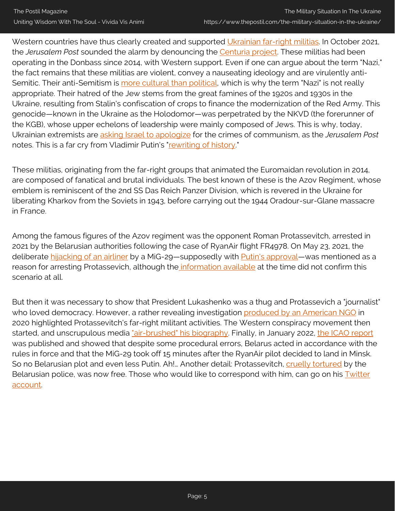Western countries have thus clearly created and supported [Ukrainian far-right militias](https://www.usatoday.com/story/news/world/2022/03/05/russia-invasion-ukraine-attention-extremist-regiment-nazi/9368016002/?gnt-cfr=1). In October 2021, the *Jerusalem Post* sounded the alarm by denouncing the [Centuria project.](https://www.illiberalism.org/wp-content/uploads/2021/09/IERES-Papers-no-11-September-2021-FINAL.pdf) These militias had been operating in the Donbass since 2014, with Western support. Even if one can argue about the term "Nazi," the fact remains that these militias are violent, convey a nauseating ideology and are virulently antiSemitic. Their anti-Semitism is [more cultural than political,](https://www.jpost.com/diaspora/ukraine-progressively-restores-historical-memory-about-jews-652438) which is why the term "Nazi" is not really appropriate. Their hatred of the Jew stems from the great famines of the 1920s and 1930s in the Ukraine, resulting from Stalin's confiscation of crops to finance the modernization of the Red Army. This genocide—known in the Ukraine as the Holodomor—was perpetrated by the NKVD (the forerunner of the KGB), whose upper echelons of leadership were mainly composed of Jews. This is why, today, Ukrainian extremists are [asking Israel to apologize](https://www.jpost.com/diaspora/antisemitism/far-right-protesters-in-ukraine-demand-israel-apologize-for-communism-654711) for the crimes of communism, as the *Jerusalem Post* notes. This is a far cry from Vladimir Putin's "[rewriting of history.](https://www.rts.ch/info/monde/12928403-podcast-ukrainerussie-cest-quoi-cette-histoire-de-nazis.html)"

These militias, originating from the far-right groups that animated the Euromaidan revolution in 2014, are composed of fanatical and brutal individuals. The best known of these is the Azov Regiment, whose emblem is reminiscent of the 2nd SS Das Reich Panzer Division, which is revered in the Ukraine for liberating Kharkov from the Soviets in 1943, before carrying out the 1944 Oradour-sur-Glane massacre in France.

Among the famous figures of the Azov regiment was the opponent Roman Protassevitch, arrested in 2021 by the Belarusian authorities following the case of RyanAir flight FR4978. On May 23, 2021, the deliberate [hijacking of an airliner](https://www.rts.ch/info/monde/12220530-la-bielorussie-a-arrete-un-militant-apres-avoir-intercepte-son-avion.html) by a MiG-29-supposedly with [Putin's approval](https://www.youtube.com/watch?v=-LfZt4ESJ44&t=148s)-was mentioned as a reason for arresting Protassevich, although the *information available* at the time did not confirm this scenario at all.

But then it was necessary to show that President Lukashenko was a thug and Protassevich a "journalist" who loved democracy. However, a rather revealing investigation [produced by an American NGO](https://www.foiaresearch.net/person/roman-protasevich) in 2020 highlighted Protassevitch's far-right militant activities. The Western conspiracy movement then started, and unscrupulous media ["air-brushed" his biography.](https://www.rts.ch/audio-podcast/2021/audio/portrait-de-l-opposant-belarusse-roman-protassevitch-25201392.html) Finally, in January 2022, [the ICAO report](https://www.politico.eu/wp-content/uploads/2022/01/19/ICAO-Fact-Finding-Investigation-Report_FR497849.pdf) was published and showed that despite some procedural errors, Belarus acted in accordance with the rules in force and that the MiG-29 took off 15 minutes after the RyanAir pilot decided to land in Minsk. So no Belarusian plot and even less Putin. Ah!... Another detail: Protassevitch, [cruelly tortured](https://ici.radio-canada.ca/nouvelle/1798764/opposant-belarus-entrevue-television-torture-interdiction-vols-ue) by the Belarusian police, was now free. Those who would like to correspond with him, can go on his **[Twitter](https://twitter.com/protas_by)** [account.](https://twitter.com/protas_by)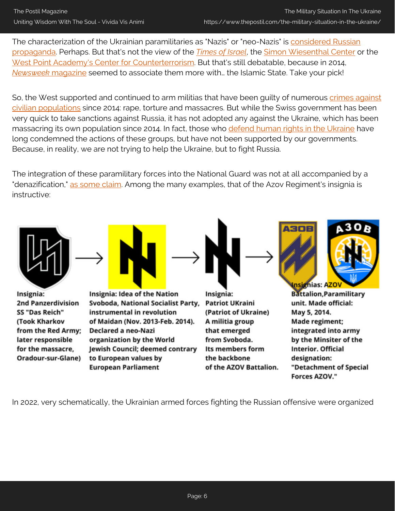The characterization of the Ukrainian paramilitaries as "Nazis" or "neo-Nazis" is [considered Russian](https://www.lemonde.fr/international/live/2021/05/28/avion-detourne-par-la-bielorussie-sanctions-de-l-union-europeenne-posez-vos-questions_6081892_3210.html) [propaganda](https://www.lemonde.fr/international/live/2021/05/28/avion-detourne-par-la-bielorussie-sanctions-de-l-union-europeenne-posez-vos-questions_6081892_3210.html). Perhaps. But that's not the view of the *[Times of Israel](https://www.timesofisrael.com/hundreds-march-in-ukraine-in-annual-tribute-to-nazi-collaborator/)*, the [Simon Wiesenthal Center](https://www.thenation.com/article/politics/neo-nazis-far-right-ukraine/) or the [West Point Academy's Center for Counterterrorism](https://ctc.usma.edu/wp-content/uploads/2020/04/CTC-SENTINEL-042020.pdf). But that's still debatable, because in 2014, *[Newsweek](https://www.newsweek.com/evidence-war-crimes-committed-ukrainian-nationalist-volunteers-grows-269604)* [magazine](https://www.newsweek.com/evidence-war-crimes-committed-ukrainian-nationalist-volunteers-grows-269604) seemed to associate them more with… the Islamic State. Take your pick!

So, the West supported and continued to arm militias that have been quilty of numerous [crimes against](https://www.osce.org/files/f/documents/e/7/233896.pdf) [civilian populations](https://www.osce.org/files/f/documents/e/7/233896.pdf) since 2014: rape, torture and massacres. But while the Swiss government has been very quick to take sanctions against Russia, it has not adopted any against the Ukraine, which has been massacring its own population since 2014. In fact, those who [defend human rights in the Ukraine](https://www.osce.org/files/f/documents/6/0/394781.pdf) have long condemned the actions of these groups, but have not been supported by our governments. Because, in reality, we are not trying to help the Ukraine, but to fight Russia.

The integration of these paramilitary forces into the National Guard was not at all accompanied by a "denazification," [as some claim](https://www.rts.ch/info/monde/12928403-podcast-ukrainerussie-cest-quoi-cette-histoire-de-nazis.html). Among the many examples, that of the Azov Regiment's insignia is instructive:



In 2022, very schematically, the Ukrainian armed forces fighting the Russian offensive were organized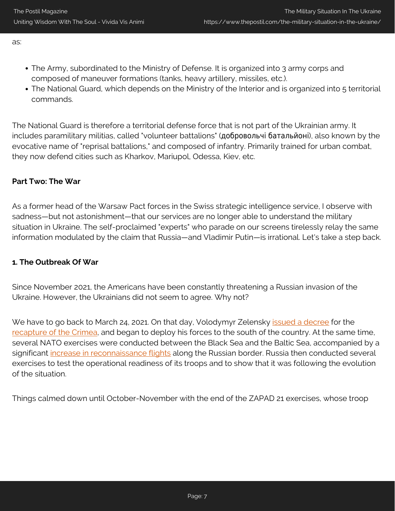as:

- The Army, subordinated to the Ministry of Defense. It is organized into 3 army corps and composed of maneuver formations (tanks, heavy artillery, missiles, etc.).
- The National Guard, which depends on the Ministry of the Interior and is organized into 5 territorial commands.

The National Guard is therefore a territorial defense force that is not part of the Ukrainian army. It includes paramilitary militias, called "volunteer battalions" (добровольчі батальйоні), also known by the evocative name of "reprisal battalions," and composed of infantry. Primarily trained for urban combat, they now defend cities such as Kharkov, Mariupol, Odessa, Kiev, etc.

#### **Part Two: The War**

As a former head of the Warsaw Pact forces in the Swiss strategic intelligence service, I observe with sadness—but not astonishment—that our services are no longer able to understand the military situation in Ukraine. The self-proclaimed "experts" who parade on our screens tirelessly relay the same information modulated by the claim that Russia—and Vladimir Putin—is irrational. Let's take a step back.

#### **1. The Outbreak Of War**

Since November 2021, the Americans have been constantly threatening a Russian invasion of the Ukraine. However, the Ukrainians did not seem to agree. Why not?

We have to go back to March 24, 2021. On that day, Volodymyr Zelensky *issued a decree* for the [recapture of the Crimea,](https://www.president.gov.ua/news/prezident-zatverdiv-strategiyu-deokupaciyi-ta-reintegraciyi-67321) and began to deploy his forces to the south of the country. At the same time, several NATO exercises were conducted between the Black Sea and the Baltic Sea, accompanied by a significant [increase in reconnaissance flights](https://www.janes.com/defence-news/news-detail/us-uk-surge-surveillance-flights-over-ukraine-and-black-sea) along the Russian border. Russia then conducted several exercises to test the operational readiness of its troops and to show that it was following the evolution of the situation.

Things calmed down until October-November with the end of the ZAPAD 21 exercises, whose troop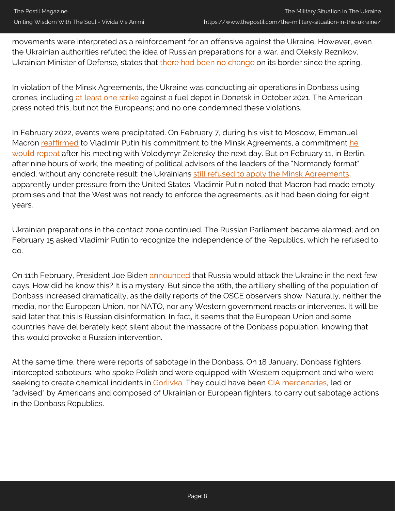movements were interpreted as a reinforcement for an offensive against the Ukraine. However, even the Ukrainian authorities refuted the idea of Russian preparations for a war, and Oleksiy Reznikov, Ukrainian Minister of Defense, states that [there had been no change](https://kyivindependent.com/hot-topic/defense-minister-downplays-russias-threat-says-its-similar-to-that-of-spring-2021/) on its border since the spring.

In violation of the Minsk Agreements, the Ukraine was conducting air operations in Donbass using drones, including [at least one strike](https://nationalinterest.org/feature/ukraine%E2%80%99s-recent-drone-strike-reignites-tensions-donbass-195709) against a fuel depot in Donetsk in October 2021. The American press noted this, but not the Europeans; and no one condemned these violations.

In February 2022, events were precipitated. On February 7, during his visit to Moscow, Emmanuel Macron [reaffirmed](https://www.youtube.com/watch?v=QHDAYz7g4u4) to Vladimir Putin his commitment to t[he](https://www.youtube.com/watch?v=InrDN7jYVOs) Minsk Agreements, a commitment he [would repeat](https://www.youtube.com/watch?v=InrDN7jYVOs) after his meeting with Volodymyr Zelensky the next day. But on February 11, in Berlin, after nine hours of work, the meeting of political advisors of the leaders of the "Normandy format" ended, without any concrete result: the Ukrainians [still refused to apply the Minsk Agreements](https://www.aa.com.tr/en/europe/normandy-format-talks-in-berlin-end-without-tangible-results/2499568), apparently under pressure from the United States. Vladimir Putin noted that Macron had made empty promises and that the West was not ready to enforce the agreements, as it had been doing for eight years.

Ukrainian preparations in the contact zone continued. The Russian Parliament became alarmed; and on February 15 asked Vladimir Putin to recognize the independence of the Republics, which he refused to do.

On 11th February, President Joe Biden [announced](https://www.politico.com/newsletters/national-security-daily/2022/02/11/putin-could-attack-ukraine-on-feb-16-biden-told-allies-00008344) that Russia would attack the Ukraine in the next few days. How did he know this? It is a mystery. But since the 16th, the artillery shelling of the population of Donbass increased dramatically, as the daily reports of the OSCE observers show. Naturally, neither the media, nor the European Union, nor NATO, nor any Western government reacts or intervenes. It will be said later that this is Russian disinformation. In fact, it seems that the European Union and some countries have deliberately kept silent about the massacre of the Donbass population, knowing that this would provoke a Russian intervention.

At the same time, there were reports of sabotage in the Donbass. On 18 January, Donbass fighters intercepted saboteurs, who spoke Polish and were equipped with Western equipment and who were seeking to create chemical incidents in [Gorlivka.](https://sprotyv.info/news/okkupanty-minirujut-mesta-hraneniya-ammiaka-na-zavode-stirol-dannye-gruppy-is) They could have been [CIA mercenaries,](https://news.yahoo.com/cia-trained-ukrainian-paramilitaries-may-take-central-role-if-russia-invades-185258008.html) led or "advised" by Americans and composed of Ukrainian or European fighters, to carry out sabotage actions in the Donbass Republics.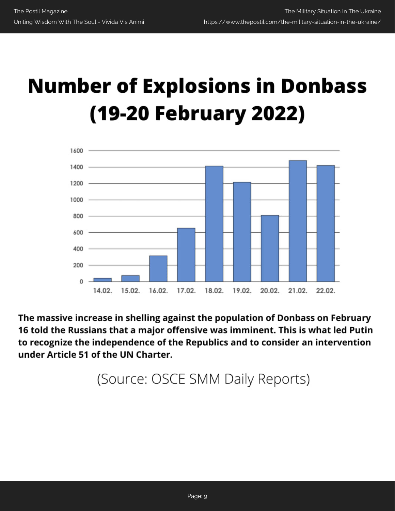# **Number of Explosions in Donbass** (19-20 February 2022)



The massive increase in shelling against the population of Donbass on February 16 told the Russians that a major offensive was imminent. This is what led Putin to recognize the independence of the Republics and to consider an intervention under Article 51 of the UN Charter.

(Source: OSCE SMM Daily Reports)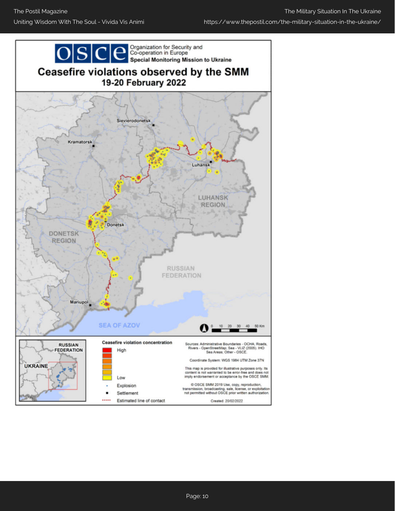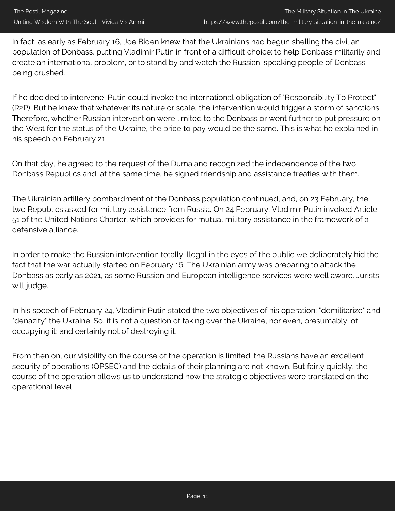In fact, as early as February 16, Joe Biden knew that the Ukrainians had begun shelling the civilian population of Donbass, putting Vladimir Putin in front of a difficult choice: to help Donbass militarily and create an international problem, or to stand by and watch the Russian-speaking people of Donbass being crushed.

If he decided to intervene, Putin could invoke the international obligation of "Responsibility To Protect" (R2P). But he knew that whatever its nature or scale, the intervention would trigger a storm of sanctions. Therefore, whether Russian intervention were limited to the Donbass or went further to put pressure on the West for the status of the Ukraine, the price to pay would be the same. This is what he explained in his speech on February 21.

On that day, he agreed to the request of the Duma and recognized the independence of the two Donbass Republics and, at the same time, he signed friendship and assistance treaties with them.

The Ukrainian artillery bombardment of the Donbass population continued, and, on 23 February, the two Republics asked for military assistance from Russia. On 24 February, Vladimir Putin invoked Article 51 of the United Nations Charter, which provides for mutual military assistance in the framework of a defensive alliance.

In order to make the Russian intervention totally illegal in the eyes of the public we deliberately hid the fact that the war actually started on February 16. The Ukrainian army was preparing to attack the Donbass as early as 2021, as some Russian and European intelligence services were well aware. Jurists will judge.

In his speech of February 24, Vladimir Putin stated the two objectives of his operation: "demilitarize" and "denazify" the Ukraine. So, it is not a question of taking over the Ukraine, nor even, presumably, of occupying it; and certainly not of destroying it.

From then on, our visibility on the course of the operation is limited: the Russians have an excellent security of operations (OPSEC) and the details of their planning are not known. But fairly quickly, the course of the operation allows us to understand how the strategic objectives were translated on the operational level.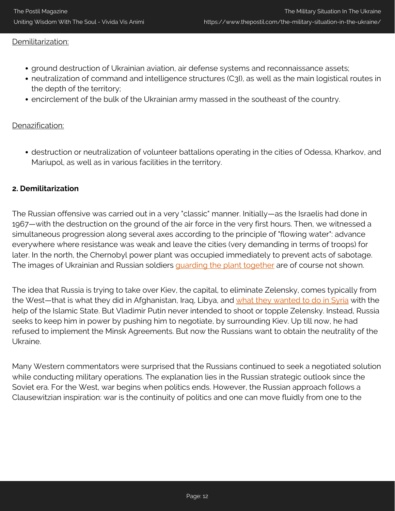#### Demilitarization:

- ground destruction of Ukrainian aviation, air defense systems and reconnaissance assets;
- neutralization of command and intelligence structures (C3I), as well as the main logistical routes in the depth of the territory;
- encirclement of the bulk of the Ukrainian army massed in the southeast of the country.

#### Denazification:

destruction or neutralization of volunteer battalions operating in the cities of Odessa, Kharkov, and Mariupol, as well as in various facilities in the territory.

#### **2. Demilitarization**

The Russian offensive was carried out in a very "classic" manner. Initially—as the Israelis had done in 1967—with the destruction on the ground of the air force in the very first hours. Then, we witnessed a simultaneous progression along several axes according to the principle of "flowing water": advance everywhere where resistance was weak and leave the cities (very demanding in terms of troops) for later. In the north, the Chernobyl power plant was occupied immediately to prevent acts of sabotage. The images of Ukrainian and Russian soldiers *guarding the plant together* are of course not shown.

The idea that Russia is trying to take over Kiev, the capital, to eliminate Zelensky, comes typically from the West-that is what they did in Afghanistan, Iraq, Libya, and [what they wanted to do in Syria](https://www.youtube.com/watch?v=e4phB-_pXDM&t=1224s) with the help of the Islamic State. But Vladimir Putin never intended to shoot or topple Zelensky. Instead, Russia seeks to keep him in power by pushing him to negotiate, by surrounding Kiev. Up till now, he had refused to implement the Minsk Agreements. But now the Russians want to obtain the neutrality of the Ukraine.

Many Western commentators were surprised that the Russians continued to seek a negotiated solution while conducting military operations. The explanation lies in the Russian strategic outlook since the Soviet era. For the West, war begins when politics ends. However, the Russian approach follows a Clausewitzian inspiration: war is the continuity of politics and one can move fluidly from one to the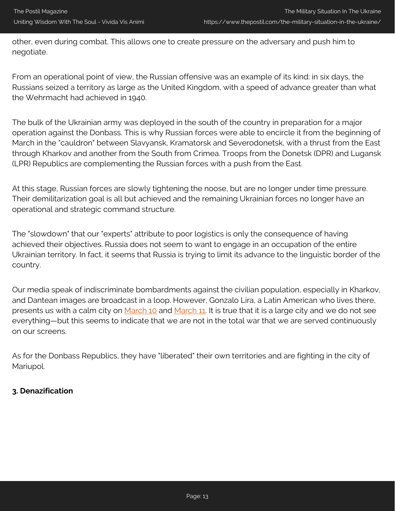other, even during combat. This allows one to create pressure on the adversary and push him to negotiate.

From an operational point of view, the Russian offensive was an example of its kind: in six days, the Russians seized a territory as large as the United Kingdom, with a speed of advance greater than what the Wehrmacht had achieved in 1940.

The bulk of the Ukrainian army was deployed in the south of the country in preparation for a major operation against the Donbass. This is why Russian forces were able to encircle it from the beginning of March in the "cauldron" between Slavyansk, Kramatorsk and Severodonetsk, with a thrust from the East through Kharkov and another from the South from Crimea. Troops from the Donetsk (DPR) and Lugansk (LPR) Republics are complementing the Russian forces with a push from the East.

At this stage, Russian forces are slowly tightening the noose, but are no longer under time pressure. Their demilitarization goal is all but achieved and the remaining Ukrainian forces no longer have an operational and strategic command structure.

The "slowdown" that our "experts" attribute to poor logistics is only the consequence of having achieved their objectives. Russia does not seem to want to engage in an occupation of the entire Ukrainian territory. In fact, it seems that Russia is trying to limit its advance to the linguistic border of the country.

Our media speak of indiscriminate bombardments against the civilian population, especially in Kharkov, and Dantean images are broadcast in a loop. However, Gonzalo Lira, a Latin American who lives there, presents us with a calm city on [March 10](https://www.youtube.com/watch?v=Uecv6AX8P3Q) and [March 11](https://www.youtube.com/watch?v=b8RNhQjjn-4&feature=youtu.be). It is true that it is a large city and we do not see everything—but this seems to indicate that we are not in the total war that we are served continuously on our screens.

As for the Donbass Republics, they have "liberated" their own territories and are fighting in the city of Mariupol.

#### **3. Denazification**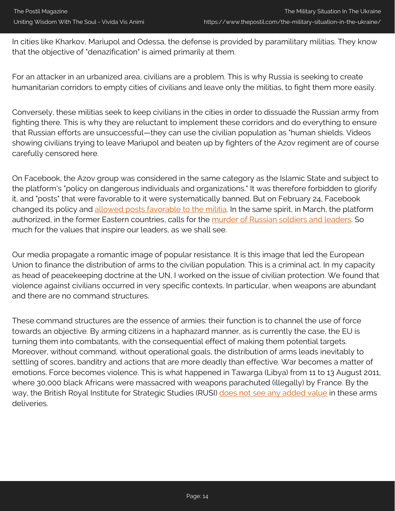In cities like Kharkov, Mariupol and Odessa, the defense is provided by paramilitary militias. They know that the objective of "denazification" is aimed primarily at them.

For an attacker in an urbanized area, civilians are a problem. This is why Russia is seeking to create humanitarian corridors to empty cities of civilians and leave only the militias, to fight them more easily.

Conversely, these militias seek to keep civilians in the cities in order to dissuade the Russian army from fighting there. This is why they are reluctant to implement these corridors and do everything to ensure that Russian efforts are unsuccessful—they can use the civilian population as "human shields. Videos showing civilians trying to leave Mariupol and beaten up by fighters of the Azov regiment are of course carefully censored here.

On Facebook, the Azov group was considered in the same category as the Islamic State and subject to the platform's "policy on dangerous individuals and organizations." It was therefore forbidden to glorify it, and "posts" that were favorable to it were systematically banned. But on February 24, Facebook changed its policy and [allowed posts favorable to the militia](https://theintercept.com/2022/02/24/ukraine-facebook-azov-battalion-russia/). In the same spirit, in March, the platform authorized, in the former Eastern countries, calls for the [murder of Russian soldiers and leaders.](https://www.theguardian.com/technology/2022/mar/11/facebook-and-instagram-let-users-call-for-death-to-russian-soldiers-over-ukraine) So much for the values that inspire our leaders, as we shall see.

Our media propagate a romantic image of popular resistance. It is this image that led the European Union to finance the distribution of arms to the civilian population. This is a criminal act. In my capacity as head of peacekeeping doctrine at the UN, I worked on the issue of civilian protection. We found that violence against civilians occurred in very specific contexts. In particular, when weapons are abundant and there are no command structures.

These command structures are the essence of armies: their function is to channel the use of force towards an objective. By arming citizens in a haphazard manner, as is currently the case, the EU is turning them into combatants, with the consequential effect of making them potential targets. Moreover, without command, without operational goals, the distribution of arms leads inevitably to settling of scores, banditry and actions that are more deadly than effective. War becomes a matter of emotions. Force becomes violence. This is what happened in Tawarga (Libya) from 11 to 13 August 2011, where 30,000 black Africans were massacred with weapons parachuted (illegally) by France. By the way, the British Royal Institute for Strategic Studies (RUSI) [does not see any added value](https://rusi.org/explore-our-research/publications/commentary/what-do-uk-weapons-deliveries-add-ukraines-armed-forces) in these arms deliveries.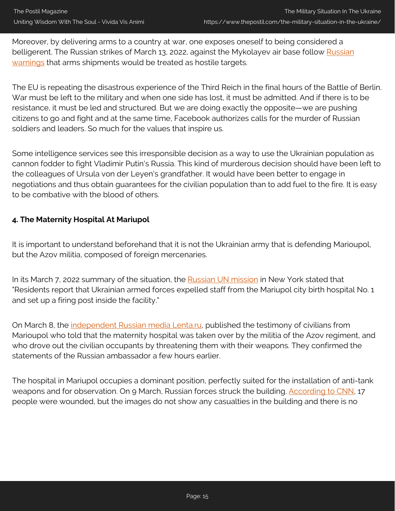Moreover, by delivering arms to a country at war, one exposes oneself to being considered a belligerent. The [Russian](https://www.aljazeera.com/news/2022/3/12/russia-says-it-could-target-western-arms-supplies-to-ukraine) strikes of March 13, 2022, against the Mykolayev air base follow Russian [warnings](https://www.aljazeera.com/news/2022/3/12/russia-says-it-could-target-western-arms-supplies-to-ukraine) that arms shipments would be treated as hostile targets.

The EU is repeating the disastrous experience of the Third Reich in the final hours of the Battle of Berlin. War must be left to the military and when one side has lost, it must be admitted. And if there is to be resistance, it must be led and structured. But we are doing exactly the opposite—we are pushing citizens to go and fight and at the same time, Facebook authorizes calls for the murder of Russian soldiers and leaders. So much for the values that inspire us.

Some intelligence services see this irresponsible decision as a way to use the Ukrainian population as cannon fodder to fight Vladimir Putin's Russia. This kind of murderous decision should have been left to the colleagues of Ursula von der Leyen's grandfather. It would have been better to engage in negotiations and thus obtain guarantees for the civilian population than to add fuel to the fire. It is easy to be combative with the blood of others.

#### **4. The Maternity Hospital At Mariupol**

It is important to understand beforehand that it is not the Ukrainian army that is defending Marioupol, but the Azov militia, composed of foreign mercenaries.

In its March 7, 2022 summary of the situation, the **Russian UN mission** in New York stated that "Residents report that Ukrainian armed forces expelled staff from the Mariupol city birth hospital No. 1 and set up a firing post inside the facility."

On March 8, the [independent Russian media Lenta.ru,](https://lenta.ru/articles/2022/03/08/mariupol/) published the testimony of civilians from Marioupol who told that the maternity hospital was taken over by the militia of the Azov regiment, and who drove out the civilian occupants by threatening them with their weapons. They confirmed the statements of the Russian ambassador a few hours earlier.

The hospital in Mariupol occupies a dominant position, perfectly suited for the installation of anti-tank weapons and for observation. On 9 March, Russian forces struck the building. [According to CNN,](https://edition.cnn.com/2022/03/09/europe/russia-invasion-ukraine-evacuations-03-09-intl/index.html) 17 people were wounded, but the images do not show any casualties in the building and there is no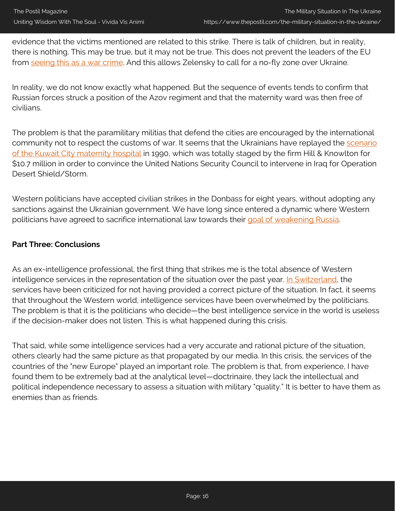evidence that the victims mentioned are related to this strike. There is talk of children, but in reality, there is nothing. This may be true, but it may not be true. This does not prevent the leaders of the EU from [seeing this as a war crime.](https://www.timesofisrael.com/eu-condemns-russian-bombing-of-mariupol-maternity-hospital-as-a-war-crime/) And this allows Zelensky to call for a no-fly zone over Ukraine.

In reality, we do not know exactly what happened. But the sequence of events tends to confirm that Russian forces struck a position of the Azov regiment and that the maternity ward was then free of civilians.

The problem is that the paramilitary militias that defend the cities are encouraged by the international community not to respect the customs of war. It seems that the Ukrainians have replayed the [scenario](https://www.youtube.com/watch?v=LmfVs3WaE9Y) [of the Kuwait City maternity hospital](https://www.youtube.com/watch?v=LmfVs3WaE9Y) in 1990, which was totally staged by the firm Hill & Knowlton for \$10.7 million in order to convince the United Nations Security Council to intervene in Iraq for Operation Desert Shield/Storm.

Western politicians have accepted civilian strikes in the Donbass for eight years, without adopting any sanctions against the Ukrainian government. We have long since entered a dynamic where Western politicians have agreed to sacrifice international law towards their [goal of weakening Russia](https://www.rand.org/content/dam/rand/pubs/research_reports/RR3000/RR3063/RAND_RR3063.pdf).

#### **Part Three: Conclusions**

As an ex-intelligence professional, the first thing that strikes me is the total absence of Western intelligence services in the representation of the situation over the past year. [In Switzerland](https://www.20min.ch/fr/story/les-services-secrets-suisses-critiques-pour-leur-manque-danticipation-324567615362?utm_source=pocket_mylist), the services have been criticized for not having provided a correct picture of the situation. In fact, it seems that throughout the Western world, intelligence services have been overwhelmed by the politicians. The problem is that it is the politicians who decide—the best intelligence service in the world is useless if the decision-maker does not listen. This is what happened during this crisis.

That said, while some intelligence services had a very accurate and rational picture of the situation, others clearly had the same picture as that propagated by our media. In this crisis, the services of the countries of the "new Europe" played an important role. The problem is that, from experience, I have found them to be extremely bad at the analytical level—doctrinaire, they lack the intellectual and political independence necessary to assess a situation with military "quality." It is better to have them as enemies than as friends.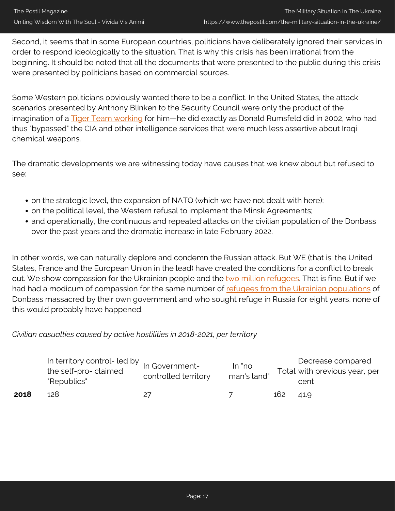Second, it seems that in some European countries, politicians have deliberately ignored their services in order to respond ideologically to the situation. That is why this crisis has been irrational from the beginning. It should be noted that all the documents that were presented to the public during this crisis were presented by politicians based on commercial sources.

Some Western politicians obviously wanted there to be a conflict. In the United States, the attack scenarios presented by Anthony Blinken to the Security Council were only the product of the imagination of a **Tiger Team working** for him—he did exactly as Donald Rumsfeld did in 2002, who had thus "bypassed" the CIA and other intelligence services that were much less assertive about Iraqi chemical weapons.

The dramatic developments we are witnessing today have causes that we knew about but refused to see:

- on the strategic level, the expansion of NATO (which we have not dealt with here);
- on the political level, the Western refusal to implement the Minsk Agreements;
- and operationally, the continuous and repeated attacks on the civilian population of the Donbass over the past years and the dramatic increase in late February 2022.

In other words, we can naturally deplore and condemn the Russian attack. But WE (that is: the United States, France and the European Union in the lead) have created the conditions for a conflict to break out. We show compassion for the Ukrainian people and the [two million refugees.](https://data2.unhcr.org/en/situations/ukraine) That is fine. But if we had had a modicum of compassion for the same number of [refugees from the Ukrainian populations](https://reliefweb.int/report/ukraine/ukraine-humanitarian-response-plan-2022-february-2022-enuk?utm_source=pocket_mylist) of Donbass massacred by their own government and who sought refuge in Russia for eight years, none of this would probably have happened.

*Civilian casualties caused by active hostilities in 2018-2021, per territory*

|      | In territory control- led by In Government-<br>the self-pro-claimed<br>"Republics" | controlled territory | In "no<br>man's land" |     | Decrease compared<br>Total with previous year, per<br>cent |
|------|------------------------------------------------------------------------------------|----------------------|-----------------------|-----|------------------------------------------------------------|
| 2018 | 128.                                                                               |                      |                       | 162 | 41.9                                                       |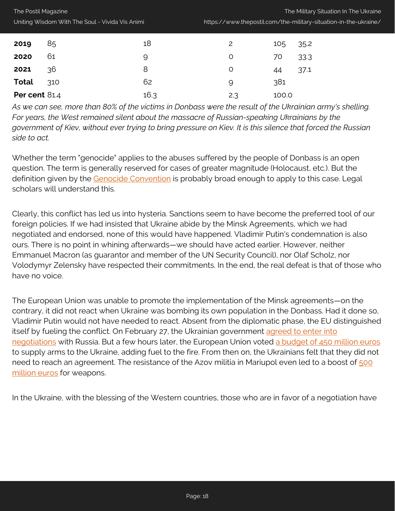| Uniting Wisdom With The Soul - Vivida Vis Animi |    |    | https://www.thepostil.com/the-military |     |         |  |  |
|-------------------------------------------------|----|----|----------------------------------------|-----|---------|--|--|
| 2019                                            | 85 | 18 |                                        | 105 | 35.2    |  |  |
| 2020                                            |    |    |                                        |     | 70 33.3 |  |  |
| 2021                                            | 36 |    |                                        |     | 37.1    |  |  |

### **Total** 310 62 9 381 **Per cent** 81.4 **16.3 2.3 100.0**

The Postil Magazine

*As we can see, more than 80% of the victims in Donbass were the result of the Ukrainian army's shelling. For years, the West remained silent about the massacre of Russian-speaking Ukrainians by the government of Kiev, without ever trying to bring pressure on Kiev. It is this silence that forced the Russian side to act.*

Whether the term "genocide" applies to the abuses suffered by the people of Donbass is an open question. The term is generally reserved for cases of greater magnitude (Holocaust, etc.). But the definition given by the [Genocide Convention](https://www.ohchr.org/fr/instruments-mechanisms/instruments/convention-prevention-and-punishment-crime-genocide) is probably broad enough to apply to this case. Legal scholars will understand this.

Clearly, this conflict has led us into hysteria. Sanctions seem to have become the preferred tool of our foreign policies. If we had insisted that Ukraine abide by the Minsk Agreements, which we had negotiated and endorsed, none of this would have happened. Vladimir Putin's condemnation is also ours. There is no point in whining afterwards—we should have acted earlier. However, neither Emmanuel Macron (as guarantor and member of the UN Security Council), nor Olaf Scholz, nor Volodymyr Zelensky have respected their commitments. In the end, the real defeat is that of those who have no voice.

The European Union was unable to promote the implementation of the Minsk agreements—on the contrary, it did not react when Ukraine was bombing its own population in the Donbass. Had it done so, Vladimir Putin would not have needed to react. Absent from the diplomatic phase, the EU distinguished itself by fueling the conflict. On February 27, the Ukrainian government [agreed to enter into](https://www.nbcnews.com/news/world/ukraine-president-kyiv-kharkiv-foreign-fighters-join-russia-putin-rcna17844) [negotiations](https://www.nbcnews.com/news/world/ukraine-president-kyiv-kharkiv-foreign-fighters-join-russia-putin-rcna17844) with Russia. But a few hours later, the European Union voted [a budget of 450 million euros](https://www.bloomberg.com/news/articles/2022-02-27/eu-approves-450-million-euros-in-lethal-military-aid-for-ukraine) to supply arms to the Ukraine, adding fuel to the fire. From then on, the Ukrainians felt that they did not need to reach an agreement. The resistance of the Azov militia in Mariupol even led to a boost of [500](https://www.rferl.org/a/european-union-sanctions-russia-ukraine-borrell/31748462.html) [million euros](https://www.rferl.org/a/european-union-sanctions-russia-ukraine-borrell/31748462.html) for weapons.

In the Ukraine, with the blessing of the Western countries, those who are in favor of a negotiation have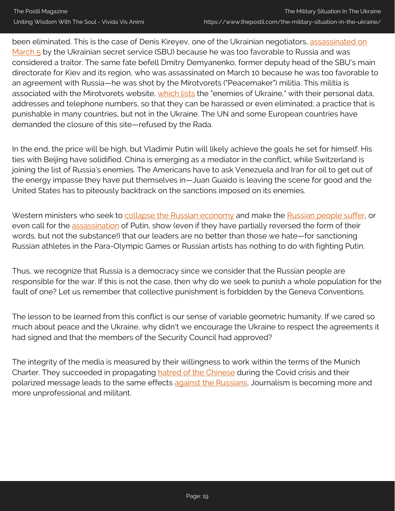been eliminated. This is the case of Denis Kireyev, one of the Ukrainian negotiators, [assassinated on](https://www.timesofisrael.com/ukraine-reports-claim-negotiator-shot-for-treason-officials-say-he-died-in-intel-op/) [March 5](https://www.timesofisrael.com/ukraine-reports-claim-negotiator-shot-for-treason-officials-say-he-died-in-intel-op/) by the Ukrainian secret service (SBU) because he was too favorable to Russia and was considered a traitor. The same fate befell Dmitry Demyanenko, former deputy head of the SBU's main directorate for Kiev and its region, who was assassinated on March 10 because he was too favorable to an agreement with Russia—he was shot by the Mirotvorets ("Peacemaker") militia. This militia is associated with the Mirotvorets website, [which lists](https://www.mirror.co.uk/news/world-news/dark-website-lists-russian-spies-26051893) the "enemies of Ukraine," with their personal data, addresses and telephone numbers, so that they can be harassed or even eliminated; a practice that is punishable in many countries, but not in the Ukraine. The UN and some European countries have demanded the closure of this site—refused by the Rada.

In the end, the price will be high, but Vladimir Putin will likely achieve the goals he set for himself. His ties with Beijing have solidified. China is emerging as a mediator in the conflict, while Switzerland is joining the list of Russia's enemies. The Americans have to ask Venezuela and Iran for oil to get out of the energy impasse they have put themselves in—Juan Guaido is leaving the scene for good and the United States has to piteously backtrack on the sanctions imposed on its enemies.

Western ministers who seek to [collapse the Russian economy](https://www.youtube.com/watch?v=Ntzacqlm-Ac) and make the [Russian people suffer,](https://www.youtube.com/watch?v=n9BGOE_eVQc) or even call for the [assassination](https://lequotidien.lu/politique-societe/jean-asselborn-eliminer-physiquement-vladimir-poutine/) of Putin, show (even if they have partially reversed the form of their words, but not the substance!) that our leaders are no better than those we hate—for sanctioning Russian athletes in the Para-Olympic Games or Russian artists has nothing to do with fighting Putin.

Thus, we recognize that Russia is a democracy since we consider that the Russian people are responsible for the war. If this is not the case, then why do we seek to punish a whole population for the fault of one? Let us remember that collective punishment is forbidden by the Geneva Conventions.

The lesson to be learned from this conflict is our sense of variable geometric humanity. If we cared so much about peace and the Ukraine, why didn't we encourage the Ukraine to respect the agreements it had signed and that the members of the Security Council had approved?

The integrity of the media is measured by their willingness to work within the terms of the Munich Charter. They succeeded in propagating [hatred of the Chinese](https://www.hrw.org/fr/news/2020/05/12/le-covid-19-attise-le-racisme-anti-asiatique-et-la-xenophobie-dans-le-monde-entier) during the Covid crisis and their polarized message leads to the same effects [against the Russians.](https://fr.metrotime.be/belgique/harcelement-et-racisme-les-russes-de-belgique-victimes-collaterales-de-linvasion-russe) Journalism is becoming more and more unprofessional and militant.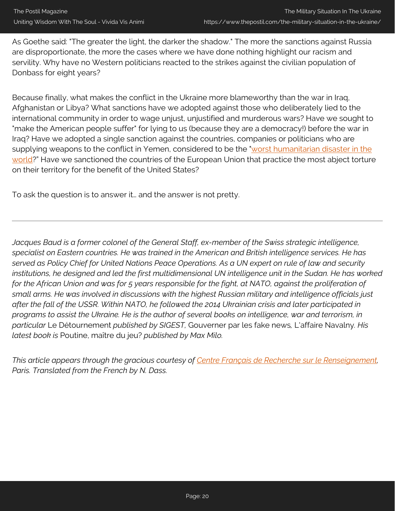As Goethe said: "The greater the light, the darker the shadow." The more the sanctions against Russia are disproportionate, the more the cases where we have done nothing highlight our racism and servility. Why have no Western politicians reacted to the strikes against the civilian population of Donbass for eight years?

Because finally, what makes the conflict in the Ukraine more blameworthy than the war in Iraq, Afghanistan or Libya? What sanctions have we adopted against those who deliberately lied to the international community in order to wage unjust, unjustified and murderous wars? Have we sought to "make the American people suffer" for lying to us (because they are a democracy!) before the war in Iraq? Have we adopted a single sanction against the countries, companies or politicians who are supplying weapons to the conflict in Yemen, considered to be the "[worst humanitarian disaster in the](https://www.un.org/press/fr/2018/cs13586.doc.htm) [world?](https://www.un.org/press/fr/2018/cs13586.doc.htm)" Have we sanctioned the countries of the European Union that practice the most abject torture on their territory for the benefit of the United States?

To ask the question is to answer it… and the answer is not pretty.

*Jacques Baud is a former colonel of the General Staff, ex-member of the Swiss strategic intelligence, specialist on Eastern countries. He was trained in the American and British intelligence services. He has served as Policy Chief for United Nations Peace Operations. As a UN expert on rule of law and security institutions, he designed and led the first multidimensional UN intelligence unit in the Sudan. He has worked for the African Union and was for 5 years responsible for the fight, at NATO, against the proliferation of small arms. He was involved in discussions with the highest Russian military and intelligence officials just after the fall of the USSR. Within NATO, he followed the 2014 Ukrainian crisis and later participated in programs to assist the Ukraine. He is the author of several books on intelligence, war and terrorism, in particular* Le Détournement *published by SIGEST,* Gouverner par les fake news*,* L'affaire Navalny*. His latest book is* Poutine, maître du jeu? *published by Max Milo.*

*This article appears through the gracious courtesy of [Centre Français de Recherche sur le Renseignement,](https://cf2r.org/) Paris. Translated from the French by N. Dass.*